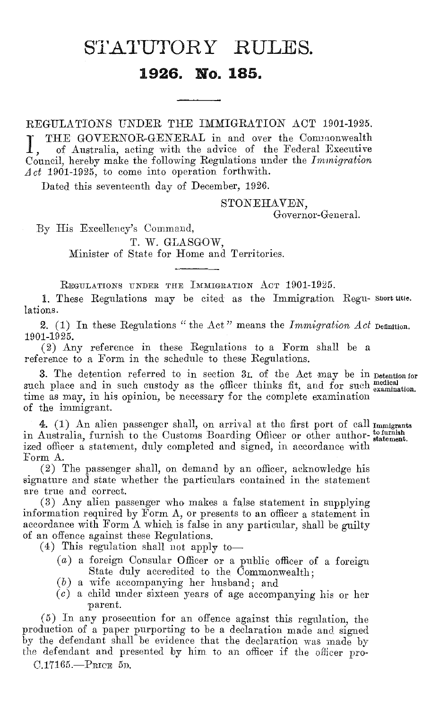# STATUTORY RULES.

# **1926. No. 185.**

REGULATIONS UNDER THE IMMIGRATION ACT 1901-1925.

THE GOVERNOR-GENERAL in and over the Commonwealth of Australia, acting with the advice of the Federal Executive Council, hereby make the following Regulations under the *Immigration Act* 1901-1925, to come into operation forthwith.

Dated this seventeenth day of December, 1926.

STONEHAVEN,

Governor-General.

By His Excellency's Command,

T. W. GLASGOW, Minister of State for Home and Territories.

REGULATIONS UNDER THE IMMIGRATION ACT 1901-1925.

1. These Regulations may be cited as the Immigration Regu- Short title. lations.

2. (1) In these Regulations " the Act " means the *Immigration Act*  Definition. 1901-1925.

(2) Any reference in these Regulations to a Form shall be a reference to a Form in the schedule to these Regulations.

3. The detention referred to in section 3i. of the Act may be in Detention for such place and in such custody as the officer thinks fit, and for such  $\frac{\text{median}}{\text{examination}}$ . time as may, in his opinion, be necessary for the complete examination of the immigrant.

4. (1) An alien passenger shall, on arrival at the first port of call Immigrants in Australia, furnish to the Customs Boarding Officer or other author-tofurnish ized officer a statement, duly completed and signed, in accordance with Form A.

(2) The passenger shall, on demand by an officer, acknowledge his signature and state whether the particulars contained in the statement are true and correct.

(3) Any alien passenger who makes a false statement in supplying information required by Form A, or presents to an officer a statement in accordance with Form A which is false in any particular, shall be guilty of an offence against these Regulations.

(4) This regulation shall not apply to—

- (a) a foreign Consular Officer or a public officer of a foreign State duly accredited to the Commonwealth;
- (b) a wife accompanying her husband; and
- (c) a child under sixteen years of age accompanying his or her parent.

(5) In any prosecution for an offence against this regulation, the production of a paper purporting to be a declaration made and signed by the defendant shall be evidence that the declaration was made by the defendant and presented by him to an officer if the officer pro-C.17165.—PRICE 5D.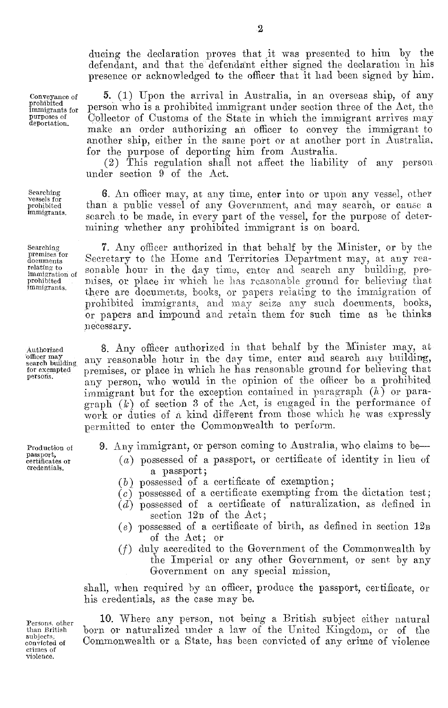ducing the declaration proves that it was presented to him by the defendant, and that the defendant either signed the declaration in his presence or acknowledged to the officer that it had been signed by him.

Conveyance of prohibited immigrants for purposes of deportation.

Searching vessels for prohibited immigrants.

Searching premises for documents relating to immigration o prohibited immigrants.

Authorized search building for exempted persons.

Production of passport, certificates or credentials.

5. (1) Upon the arrival in Australia, in an overseas ship, of any person who is a prohibited immigrant under section three of the Act, the Collector of Customs of the State in which the immigrant arrives may make an order authorizing an officer to convey the immigrant to another ship, either in the same port or at another port in Australia, for the purpose of deporting him from Australia.

(2) This regulation shall not affect the liability of any person under section 9 of the Act.

6. An officer may, at any time, enter into or upon any vessel, other than a public vessel of any Government, and may search, or cause a search to be made, in every part of the vessel, for the purpose of determining whether any prohibited immigrant is on board.

7. Any officer authorized in that behalf by the Minister, or by the Secretary to the Home and Territories Department may, at any reasonable hour in the day time, enter and search any building, premises, or place in which he has reasonable ground for believing that there are documents, books, or papers relating to the immigration of prohibited immigrants, and may seize any such documents, books, or papers and impound and retain them for such time as he thinks necessary.

8. Any officer authorized in that behalf by the Minister may, at any reasonable hour in the day time, enter and search any building, premises, or place in which he has reasonable ground for believing that any person, who would in the opinion of the officer be a prohibited immigrant but for the exception contained in paragraph  $(h)$  or para- $\mathrm{graph}(k)$  of section 3 of the Act, is engaged in the performance of work or duties of a kind different from those which he was expressly permitted to enter the Commonwealth to perform.

9. Any immigrant, or person coming to Australia, who claims to be

- (a) possessed of a passport, or certificate of identity in lieu of a passport ;
- (b) possessed of a certificate of exemption;
- $(c)$  possessed of a certificate exempting from the dictation test;
- *(c1)* possessed of a certificate of naturalization, as defined in section  $12B$  of the Act;
- (e) possessed of a certificate of birth, as defined in section  $12_B$ of the Act; or
- (f) duly accredited to the Government of the Commonwealth by the Imperial or any other Government, or sent by any Government on any special mission,

shall, when required by an officer, produce the passport, certificate, or his credentials, as the case may be.

10. Where any person, not being a British subject either natural born or naturalized under a law of the United Kingdom, or of the Commonwealth or a State, has been convicted of any crime of violence

Persons. other than British subjects. convicted of crimes of violence.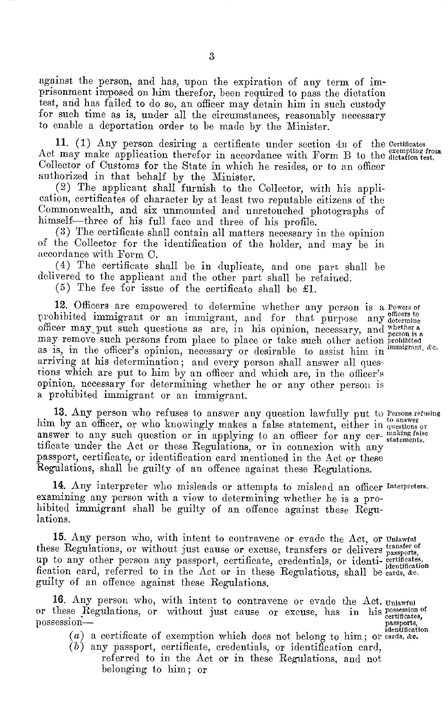against the person, and has, upon the expiration of any term of imprisonment imposed on him therefor, been required to pass the dictation test, and has failed to do so, an officer may detain him in such custody for such time as is, under all the circumstances, reasonably necessary to enable a deportation order to be made by the Minister.

11. (1) Any person desiring a certificate under section 4n of the Certificates Act may make application therefor in accordance with Form B to the dictation test. Collector of Customs for the State in which he resides, or to an officer authorized in that behalf by the Minister.

(2) The applicant shall furnish to the Collector, with his application, certificates of character by at least two reputable citizens of the Commonwealth, and six unmounted and unretouched photographs of himself—three of his full face and three of his profile.

(3) The certificate shall contain all matters necessary in the opinion of the Collector for the identification of the holder, and may be in accordance with Form C.

(4) The certificate shall be in duplicate, and one part shall be delivered to the applicant and the other part shall be retained.

(5) The fee for issue of the certificate shall be £1.

12. Officers are empowered to determine whether any person is a Powers of prohibited immigrant or an immigrant, and for that purpose any determine officer may put such questions as are, in his opinion, necessary, and may remove such persons from place to place or take such other action as is, in the officer's opinion, necessary or desirable to assist him in arriving at his determination; and every person shall answer all questions which are put to him by an officer and which are, in the officer's opinion, necessary for determining whether he or any other person is a prohibited immigrant or an immigrant. whether a person is a prohibited immigrant, &c.

13. Any person who refuses to answer any question lawfully put to Persons refusing him by an officer, or who knowingly makes a false statement, either in questions or answer to any such question or in applying to an officer for any cer-  $\frac{\text{making false}}{\text{statements}}$ tificate under the Act or these Regulations, or in connexion with any passport, certificate, or identification card mentioned in the Act or these Regulations, shall be guilty of an offence against these Regulations.

14. Any interpreter who misleads or attempts to mislead an officer Interpreters. examining any person with a view to determining whether he is a prohibited immigrant shall be guilty of an offence against these Regulations.

15. Any person who, with intent to contravene or evade the Act, or Unlawful these Regulations, or without just cause or excuse, transfers or delivers passports, up to any other person any passport, certificate, credentials, or identi- eertificates, fication card, referred to in the Act or in these Regulations, shall be cards, &c. guilty of an offence against these Regulations.

16. Any person who, with intent to contravene or evade the Act, Unlawful or these Regulations, or without just cause or excuse, has in his possession of<br>possession—<br>intertification<br>identification

- $\alpha$ ) a certificate of exemption which does not belong to him; or cards, &e.
- (b) any passport, certificate, credentials, or identification card, referred to in the Act or in these Regulations, and not belonging to him; or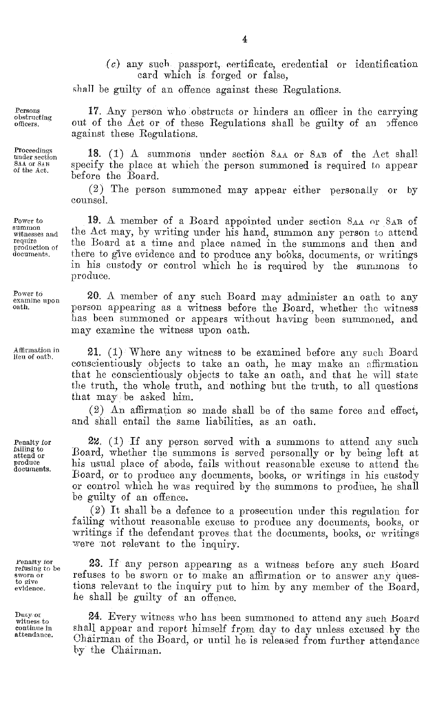*(c)* any such passport, certificate, credential or identification card which is forged or false,

shall be guilty of an offence against these Regulations.

17. Any person who obstructs or hinders an officer in the carrying out of the Act or of these Regulations shall be guilty of an offence against these Regulations.

18. (1) A summons under section 8AA or 8AB of the Act shall specify the place at which the person summoned is required to appear before the Board.

(2) The person summoned may appear either personally or by counsel.

19. A member of a Board appointed under section 8AA or 8AB of the Act may, by writing under his hand, summon any person to attend the Board at a time and place named in the summons and then and there to give evidence and to produce any books, documents, or writings in his custody or control which he is required by the summons to produce.

20. A member of any such Board may administer an oath to any person appearing as a witness before the Board, whether the witness has been summoned or appears without having been summoned, and may examine the witness upon oath.

21. (1) Where any witness to be examined before any such Board conscientiously objects to take an oath, he may make an affirmation that he conscientiously objects to take an oath, and that he will state the truth, the whole truth, and nothing but the truth, to all questions that may be asked him

(2) An affirmation so made shall be of the same force and effect, and shall entail the same liabilities, as an oath.

22. (1) If any person served with a summons to attend any such Board, whether the summons is served personally or by being left at his usual place of abode, fails without reasonable excuse to attend the Board, or to produce any documents, books, or writings in his custody or control which he was required by the summons to produce, he shall be guilty of an offence.

(2) It shall be a defence to a prosecution under this regulation for failing without reasonable excuse to produce any documents, books, or writings if the defendant proves that the documents, books, or writings were not relevant to the inquiry.

23. If any person appearing as a witness before any such Board refuses to be sworn or to make an affirmation or to answer any questions relevant to the inquiry put to him by any member of the Board, he shall he guilty of an offence.

24. Every witness who has been summoned to attend any such Board shall appear and report himself from day to day unless excused by the Chairman of the Board, or until he is released from further attendance by the Chairman.

Persons obstructing officers.

Proceedings under section 8AA OF 8AB of the Act.

Power to summon witnesses and require production of documents.

Power to examine upon oath.

Affirmation in lieu of oath.

Penalty for failing to attend or produce documents.

Penalty for refusing to be sworn or to give evidence.

Ducy, or witness to continue in attendance.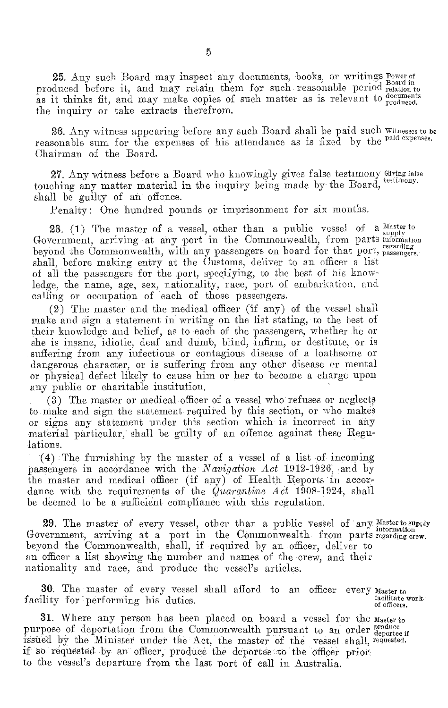25. Any such Board may inspect any documents, books, or writings Power of produced before it, and may retain them for such reasonable period relation to as it thinks fit, and may make copies of such matter as is relevant to cocuments the inquiry or take extracts therefrom.

26. Any witness appearing before any such Board shall be paid such Witnesses to be reasonable sum for the expenses of his attendance as is fixed by the paid expenses. Chairman of the Board.

27. Any witness before a Board who knowingly gives false testimony Giving false touching any matter material in the inquiry being made by the Board, testimony. shall be guilty of an offence.

Penalty: One hundred pounds or imprisonment for six months.

28. (1) The master of a vessel, other than a public vessel of a Government, arriving at any port in the Commonwealth, from parts beyond the Commonwealth, with any passengers on board for that port, shall, before making entry at the Customs, deliver to an officer a list of all the passengers for the port, specifying, to the best of his knowledge, the name, age, sex, nationality, race, port of embarkation, and calling or occupation of each of those passengers.

(2) The master and the medical officer (if any) of the vessel shall make and sign a statement in writing on the list stating, to the best of their knowledge and belief, as to each of the passengers, whether he or she is insane, idiotic, deaf and dumb, blind, infirm, or destitute, or is suffering from any infectious or contagious disease of a loathsome or dangerous character, or is suffering from any other disease or mental or physical defect likely to cause him or her to become a charge upon any public or charitable institution.

(3) The master or medical officer of a vessel who refuses or neglects to make and sign the statement required by this section, or who makes or signs any statement under this section which is incorrect in any material particular, shall be guilty of an offence against these Regulations.

(4) The furnishing by the master of a vessel of a list of incoming passengers in accordance with the *Navigation Act* 1912-1926, and by the master and medical officer (if any) of Health Reports in accordance with the requirements of the  $\tilde{Quarantine Act}$  1908-1924, shall be deemed to be a sufficient compliance with this regulation.

29. The master of every vessel, other than a public vessel of any Master to supply comment equiving of a point in the Comment goalth from parts internation Government, arriving at a port in the Commonwealth from parts regarding crew. beyond the Commonwealth, shall, if required by an officer, deliver to an officer a list showing the number and names of the crew, and their nationality and race, and produce the vessel's articles.

30. The master of every vessel shall afford to an officer every  $M_{\text{aster to}}$  facilitate work facility for performing his duties. of officers.

31. Where any person has been placed on board a vessel for the master to purpose of deportation from the Commonwealth pursuant to an order produce issued by the Minister under the Act, the master of the vessel shall, requested. if- so requested, by an officer, produce the deportee to the officer prior to the vessel's departure from the last port of call in Australia.

Master to supply information regarding passengers.-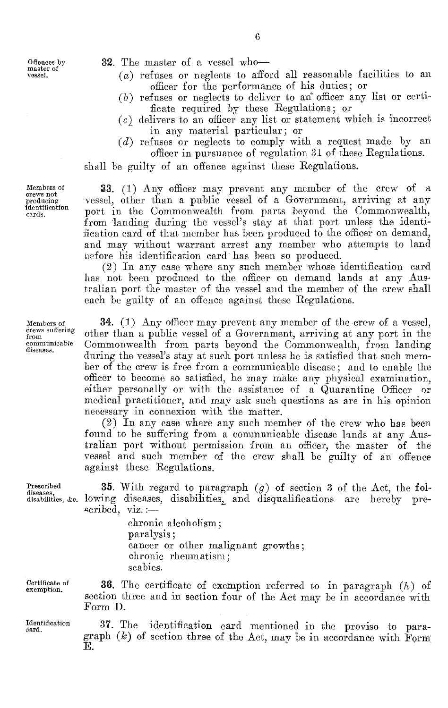32. The master of a vessel who—

- $(a)$  refuses or neglects to afford all reasonable facilities to an officer for the performance of his duties; or
- $(b)$  refuses or neglects to deliver to an officer any list or certificate required by these Regulations; or
- $(c)$  delivers to an officer any list or statement which is incorrect in any material particular; or
- (d) refuses or neglects to comply with a request made by an officer in pursuance of regulation 31 of these Regulations.

shall be guilty of an offence against these Regulations.

Members of crews not producing identification cards.

Members of crews suffering from communicable diseases.

Prescribed diseases, disabilities, &c.

Certificate of exemption.

Identification card.

E.

section three and in section four of the Act may be in accordance with Form D. 37. The identification card mentioned in the proviso to paragraph  $(k)$  of section three of the Act, may be in accordance with Form

36. The certificate of exemption referred to in paragraph (h) of

33. (1) Any officer may prevent any member of the crew of a vessel, other than a public vessel of a Government, arriving at any port in the Commonwealth from parts beyond the Commonwealth, from landing during the vessel's stay at that port unless the identification card of that member has been produced to the officer on demand, and may without warrant arrest any member who attempts to land before his identification card has been so produced.

(2) In any case where any such member whose identification card has not been produced to the officer on demand lands at any Australian port the master of the vessel and the member of the crew shall each be guilty of an offence against these Regulations.

34. (1) Any officer may prevent any member of the crew of a vessel, other than a public vessel of a Government, arriving at any port in the Commonwealth from parts beyond the Commonwealth, from landing during the vessel's stay at such port unless he is satisfied that such member of the crew is free from a communicable disease; and to enable the officer to become so satisfied, he may make any physical examination, either personally or with the assistance of a Quarantine Officer or medical practitioner, and may ask such questions as are in his opinion necessary in connexion with the matter.

(2) In any case where any such member of the crew who has been found to be suffering from a communicable disease lands at any Australian port without permission from an officer, the master of the vessel and such member of the crew shall be guilty of an offence against these Regulations.

**35.** With regard to paragraph  $(g)$  of section 3 of the Act, the foling diseases, disabilities, and disqualifications are hereby prelowing diseases, disabilities, and disqualifications are ecribed, viz.:—

chronic alcoholism; paralysis ; cancer or other malignant growths; chronic rheumatism; scabies.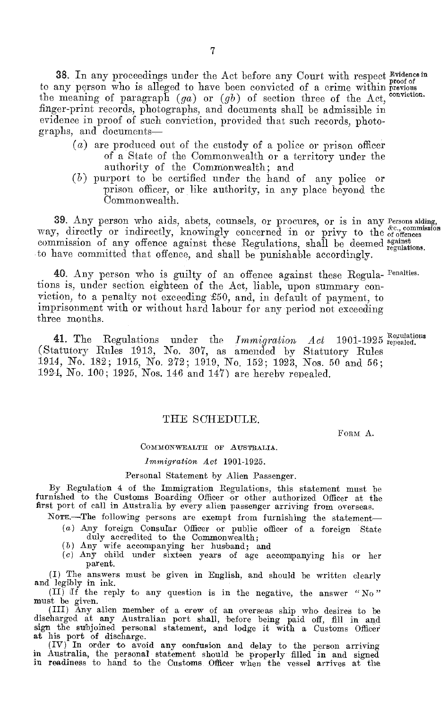38. In any proceedings under the Act before any Court with respect Evidence in to any person who is alleged to have been convicted of a crime within previous the meaning of paragraph *(ga)* or *(gb)* of section three of the Act, conviction. finger-print records, photographs, and documents shall be admissible in evidence in proof of such conviction, provided that such records, photographs, and documents—

- (a) are produced out of the custody of a police or prison officer of a State of the Commonwealth or a territory under the authority of the Commonwealth; and
- (b) purport to be certified under the hand of any police or prison officer, or like authority, in any place beyond the Commonwealth.

39. Any person who aids, abets, counsels, or procures, or is in any Persons aiding, 39. Any person who aids, abets, counsels, or procures, or is in any Persons adding, way, directly or indirectly, knowingly concerned in or privy to the cromission commission of any offence against these Regulations, shall be deemed against regulations. to have committed that offence, and shall be punishable accordingly.

40. Any person who is guilty of an offence against these Regula- Penalties. tions is, under section eighteen of the Act, liable, upon summary conviction, to a penalty not exceeding £50, and, in default of payment, to imprisonment with or without hard labour for any period not exceeding three months.

41. The Regulations under the *Immigration Act* 1901-1925 regealed. (Statutory Rules 1913, No. 307, as amended by Statutory Rules 1914, No. 182; 1915, No. 272; 1919, No. 152; 1923, Nos. 50 and 56; 1921, No. 100; 1925, Nos. 146 and 147) are hereby repealed.

### THE SCHEDULE.

FORM A.

#### COMMONWEALTH OF AUSTRALIA.

#### *immigration Act* 1901-1925.

#### Personal Statement by Alien Passenger.

By Regulation 4 of the Immigration Regulations, this statement must be furnished to the Customs Boarding Officer or other authorized Officer at the first port of call in Australia by every alien passenger arriving from overseas.

NOTE.—,The following persons are exempt from furnishing the statement— (a) Any foreign Consular Officer or public officer of a foreign State

- duly accredited to the Commonwealth;
- 
- (b ) Any wife accompanying her husband; and *(c)* Any child under sixteen years of age accompanying his or her parent.

(I) The answers must be given in English, and should be written clearly and legibly in ink.

(II) If the reply to any question is in the negative, the answer " $\mathrm{No}$ "

must be given. (III) Any alien member of a crew of an overseas ship who desires to be discharged at any Australian port shall, 'before being paid off, fill in and sign the subjoined personal statement, and lodge it with a Customs Officer at his port of discharge.

(IV) In order to avoid any confusion and delay to the person arriving in Australia, the personal statement should be properly filled in and signed in readiness to hand to the Customs Officer when the vessel arrives at the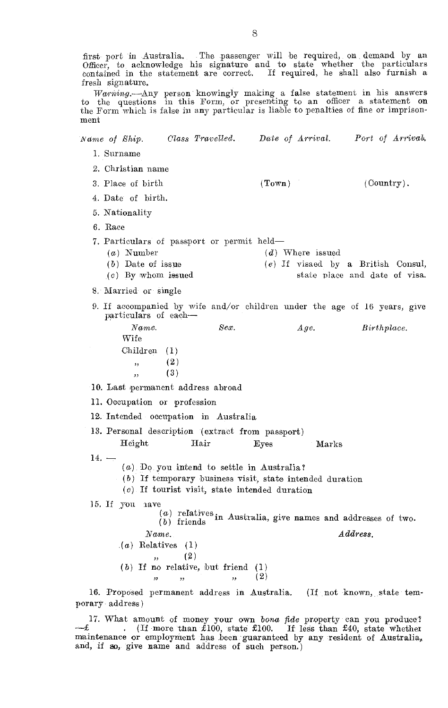first port in Australia. The passenger will be required, on demand by an Officer, to acknowledge his signature and to state whether the particulars contained in the statement are correct. If required, he shall also furnish fresh signature.

*Waraing.—Any* person knowingly making a false statement in his answers to the questions in this Form, or presenting to an officer a statement on the Form which is false in any particular is liable to penalties of fine or imprisonment

| Class Travelled. Date of Arrival.<br>Name of Ship.                                                                                                             |                                                                | Port of Arrival.                                                      |
|----------------------------------------------------------------------------------------------------------------------------------------------------------------|----------------------------------------------------------------|-----------------------------------------------------------------------|
| 1. Surname                                                                                                                                                     |                                                                |                                                                       |
| 2. Christian name                                                                                                                                              |                                                                |                                                                       |
| 3. Place of birth                                                                                                                                              | (Town)                                                         | (Country).                                                            |
| 4. Date of birth.                                                                                                                                              |                                                                |                                                                       |
| 5. Nationality                                                                                                                                                 |                                                                |                                                                       |
| 6. Race                                                                                                                                                        |                                                                |                                                                       |
| 7. Particulars of passport or permit held—<br>$(a)$ Number<br>$(b)$ Date of issue<br>$(c)$ By whom issued                                                      | $(d)$ Where issued                                             | $(e)$ If visaed by a British Consul,<br>state place and date of visa. |
| 8. Married or single                                                                                                                                           |                                                                |                                                                       |
| 9. If accompanied by wife and/or children under the age of 16 years, give<br>particulars of each-                                                              |                                                                |                                                                       |
| Sex.<br>Name.<br>Wife<br>Children (1)                                                                                                                          | $A\,qe.$                                                       | Birthplace.                                                           |
| (2)<br>,                                                                                                                                                       |                                                                |                                                                       |
| (3)<br>,                                                                                                                                                       |                                                                |                                                                       |
| 10. Last permanent address abroad                                                                                                                              |                                                                |                                                                       |
| 11. Occupation or profession                                                                                                                                   |                                                                |                                                                       |
| 12. Intended occupation in Australia                                                                                                                           |                                                                |                                                                       |
| 13. Personal description (extract from passport)<br>Height<br>Hair                                                                                             | Eyes<br>Marks                                                  |                                                                       |
| $14. -$                                                                                                                                                        |                                                                |                                                                       |
| $(a)$ Do you intend to settle in Australia?<br>$(b)$ If temporary business visit, state intended duration<br>$(c)$ . If tourist visit, state intended duration |                                                                |                                                                       |
| 15. If you aave                                                                                                                                                | $(a)$ relatives in Australia, give names and addresses of two. |                                                                       |
| Name.                                                                                                                                                          |                                                                | Adores.                                                               |
| $(a)$ Relatives (1)<br>(2)                                                                                                                                     |                                                                |                                                                       |
| ,<br>$(b)$ If no relative, but friend $(1)$<br>, 1<br>,,<br>,,                                                                                                 | (2)                                                            |                                                                       |
| 16. Proposed permanent address in Australia. (If not known, state tem-                                                                                         |                                                                |                                                                       |
| porary address)                                                                                                                                                |                                                                |                                                                       |

17. What amount of money your own bona fide property can you produce?<br> $-\pounds$  . (If more than £100, state £100. If less than £40, state whether maintenance or employment has been guaranteed by any resident of Australia, and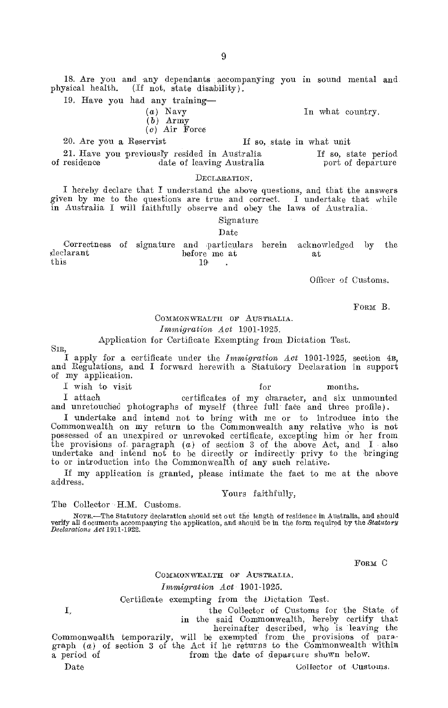18. Are you and any dependants accompanying you in sound mental and physical health. (If not, state disability).

19. Have you had any training-

#### (a) Navy (b) Army

(c) Air Force

20. Are you a Reservist

21. Have you previously resided in Australia date of leaving Australia If so, state period port of departure

#### DECLARATION.

I hereby declare that I understand the above questions, and that the answers given by me to the questions are true and correct. I undertake that while in Australia I will faithfully observe and obey the laws of Australia.

Signature

# Date

Correctness of signature and particulars herein acknowledged by the  $\begin{array}{ccc}\n\text{declarant} & \text{before} & \text{me} & \text{at} \\
\text{this} & \text{19}\n\end{array}$ this  $19^{\circ}$  .

Officer of Customs.

In what country,

If so, state in what unit

FORM B.

#### COMMONWEALTH OF AUSTRALIA. *Immigration Act 1901-1925.*

#### Application for Certificate Exempting from Dictation Test.

I apply for a certificate under the *Immigration* Act 1901-1925, section 4n, and Regulations, and I forward herewith a Statutory Declaration in support of my application.

I wish to visit for months.

I attach certificates of my character, and six unmounted and unretouched photographs of myself (three full fate and three profile).

I undertake and intend not to bring with me or to introduce into the Commonwealth on my return to the Commonwealth any relative who is not possessed of an unexpired or unrevoked certificate, excepting him or her from the provisions of paragraph (a) of section 3 of the above Act, and I also undertake and intend not to be directly or indirectly privy to the bringing to or introduction into the Commonwealth of any such relative.

If my application is granted, please intimate the fact to me at the above address.

#### Yours faithfully,

#### The Collector H.M. Customs.

NOTE.—The Statutory declaration should set out the length of residence in Australia, and should perify all documents accompanying the application, and should be in the form required by the *Statutory Declarations Act* 1911-1922.

FORM C

#### COMMONWEALTH OF AUSTRALIA.

#### *Immigration Act* 1901-1925.

#### Certificate exempting from the Dictation Test.

I,

the Collector of Customs for the State of

in the said Commonwealth, hereby certify that<br>
thereinafter described, who is leaving the<br>
graph  $(a)$  of section 3 of the Act if he returns to the Commonwealth within<br>
a period of section 3 of the Act if he returns to the

Date Collector of -Customs,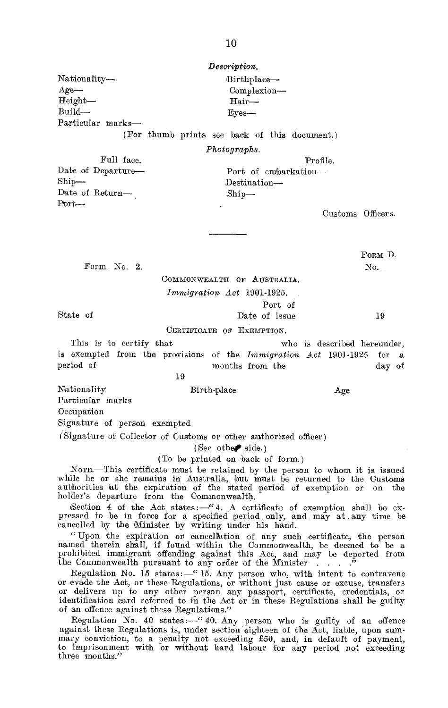Nationality— Birthplace— Age— Complexion— Height— Hair— Build— Eves— Particular marks—

(For thumb prints see back of this document.)

*Photographs.* 

Full face. Profile.

Date of Departure— Port of embarkation—<br>Ship—<br>Destination— Destination— Date of Return— $\text{Ship}\rightarrow$ 

Customs Officers.

Form No. 2. No.

FORM D.

COMMONWEALTH OF AUSTRALIA. *Immigration Act* 1901-1925.

Port of

State of  $\qquad \qquad$  Date of issue 19

Port-

CERTIFICATE OF EXEMPTION.

This is to certify that who is described hereunder, is exempted from the provisions of the *Immigration Act* 1901-1925 for a months from the day of 19

Nationality Birth-place Age Particular marks

**Occupation** 

Signature of person exempted

(Signature of Collector of Customs or other authorized officer)

(See other side.)

(To be printed on back of form.)

NOTE.—This certificate must be retained by the person to whom it is issued while he or she remains in Australia, but must be returned to the Customs authorities at the expiration of the stated period of exemption or on the

Section 4 of the Aet states:—" 4. A certificate of exemption shall be ex-pressed to be in force for a specified period only, and may at any time be cancelled by the Minister by writing under his hand.

"Upon the expiration or cancellation of any such certificate, the person named therein shall, if found within the Commonwealth, be deemed to be a prohibited immigrant offending against this Act, and may be deported from the Commonwealth pursuant to any order of the Minister . . .

Regulation No. 15 states:—" 15. Any person who, with intent to contravene or evade the Act, or these Regulations, or without just cause or excuse, transfers or delivers up to any other person any passport, certificate, credentials, or identification card referred to in the Act or in these Regulations shall be guilty of an offence against these Regulations."

Regulation No. 40 states:—" 40. Any person who is guilty of an offence against these Regulations is, under section eighteen of the Act, liable, upon summary conviction, to a penalty not exceeding £50, and, in default of payment, to imprisonment with or without hard labour for any period not exceeding three months."

*Description.*